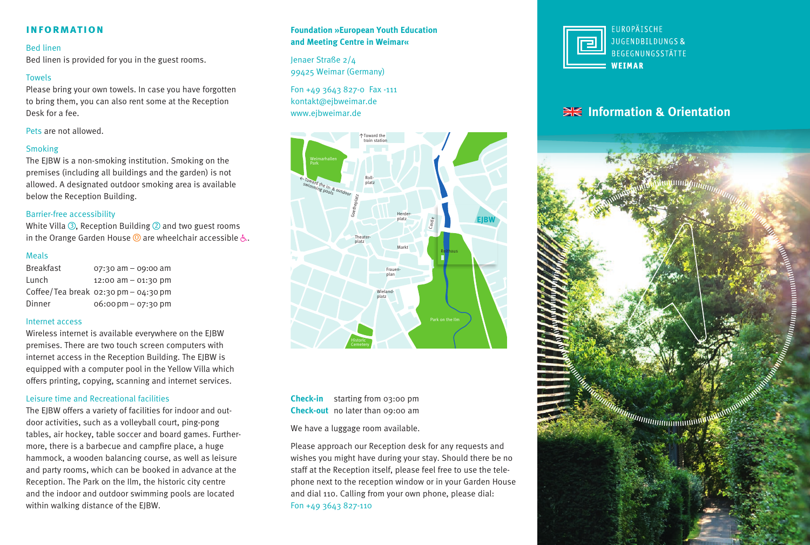### **information**

#### Bed linen

Bed linen is provided for you in the guest rooms.

#### Towels

Please bring your own towels. In case you have forgotten to bring them, you can also rent some at the Reception Desk for a fee.

Pets are not allowed.

#### Smoking

The EJBW is a non-smoking institution. Smoking on the premises (including all buildings and the garden) is not allowed. A designated outdoor smoking area is available below the Reception Building.

#### Barrier-free accessibility

White Villa  $\circled{3}$ , Reception Building  $\circled{2}$  and two guest rooms in the Orange Garden House  $\odot$  are wheelchair accessible  $\zeta$ .

#### Meals

Breakfast 07:30 am – 09:00 am Lunch 12:00 am – 01:30 pm Coffee/Tea break 02:30 pm– 04:30 pm Dinner 06:00pm– 07:30 pm

#### Internet access

Wireless internet is available everywhere on the EJBW premises. There are two touch screen computers with internet access in the Reception Building. The EJBW is equipped with a computer pool in the Yellow Villa which offers printing, copying, scanning and internet services.

#### Leisure time and Recreational facilities

The EJBW offers a variety of facilities for indoor and outdoor activities, such as a volleyball court, ping-pong tables, air hockey, table soccer and board games. Furthermore, there is a barbecue and campfire place, a huge hammock, a wooden balancing course, as well as leisure and party rooms, which can be booked in advance at the Reception. The Park on the Ilm, the historic city centre and the indoor and outdoor swimming pools are located within walking distance of the EJBW.

### **Foundation »European Youth Education and Meeting Centre in Weimar«**

Jenaer Straße 2/4 99425 Weimar (Germany)

Fon +49 3643 827-0 Fax -111 kontakt@ejbweimar.de www.ejbweimar.de



**Check-in** starting from 03:00 pm **Check-out** no later than 09:00 am

We have a luggage room available.

Please approach our Reception desk for any requests and wishes you might have during your stay. Should there be no staff at the Reception itself, please feel free to use the telephone next to the reception window or in your Garden House and dial 110. Calling from your own phone, please dial: Fon +49 3643 827-110



# **EXAGE Information & Orientation**